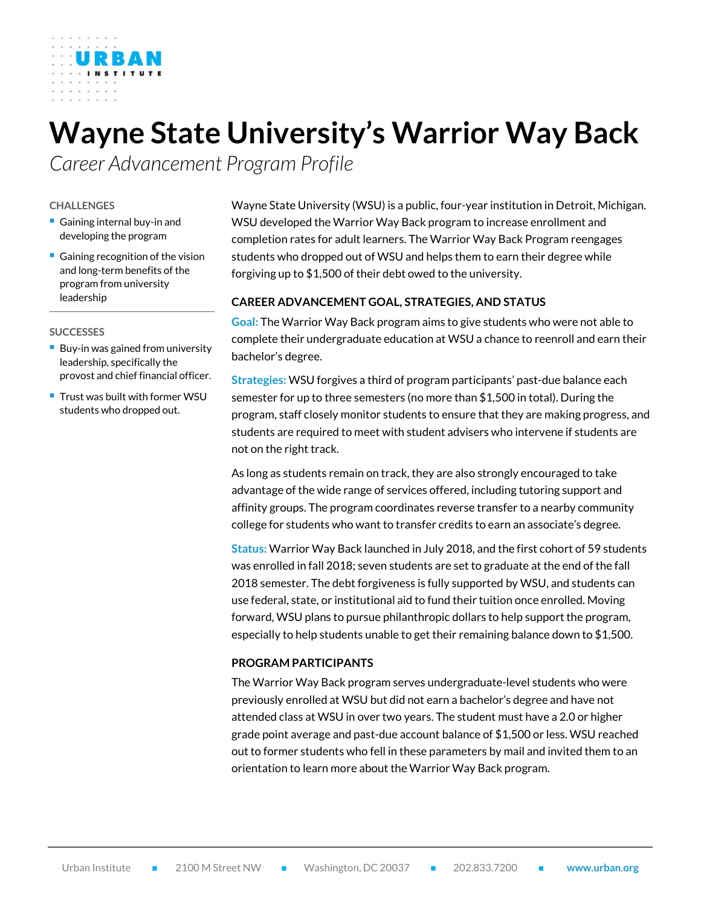# **Wayne State University's Warrior Way Back**

*Career Advancement Program Profile*

#### **CHALLENGES**

- Gaining internal buy-in and developing the program
- Gaining recognition of the vision and long-term benefits of the program from university leadership

#### **SUCCESSES**

- Buy-in was gained from university leadership, specifically the provost and chief financial officer.
- Trust was built with former WSU students who dropped out.

Wayne State University (WSU) is a public, four-year institution in Detroit, Michigan. WSU developed the Warrior Way Back program to increase enrollment and completion rates for adult learners. The Warrior Way Back Program reengages students who dropped out of WSU and helps them to earn their degree while forgiving up to \$1,500 of their debt owed to the university.

# **CAREER ADVANCEMENT GOAL, STRATEGIES, AND STATUS**

**Goal:** The Warrior Way Back program aims to give students who were not able to complete their undergraduate education at WSU a chance to reenroll and earn their bachelor's degree.

**Strategies:** WSU forgives a third of program participants' past-due balance each semester for up to three semesters (no more than \$1,500 in total). During the program, staff closely monitor students to ensure that they are making progress, and students are required to meet with student advisers who intervene if students are not on the right track.

As long as students remain on track, they are also strongly encouraged to take advantage of the wide range of services offered, including tutoring support and affinity groups. The program coordinates reverse transfer to a nearby community college for students who want to transfer credits to earn an associate's degree.

**Status:** Warrior Way Back launched in July 2018, and the first cohort of 59 students was enrolled in fall 2018; seven students are set to graduate at the end of the fall 2018 semester. The debt forgiveness is fully supported by WSU, and students can use federal, state, or institutional aid to fund their tuition once enrolled. Moving forward, WSU plans to pursue philanthropic dollars to help support the program, especially to help students unable to get their remaining balance down to \$1,500.

### **PROGRAM PARTICIPANTS**

The Warrior Way Back program serves undergraduate-level students who were previously enrolled at WSU but did not earn a bachelor's degree and have not attended class at WSU in over two years. The student must have a 2.0 or higher grade point average and past-due account balance of \$1,500 or less. WSU reached out to former students who fell in these parameters by mail and invited them to an orientation to learn more about the Warrior Way Back program.